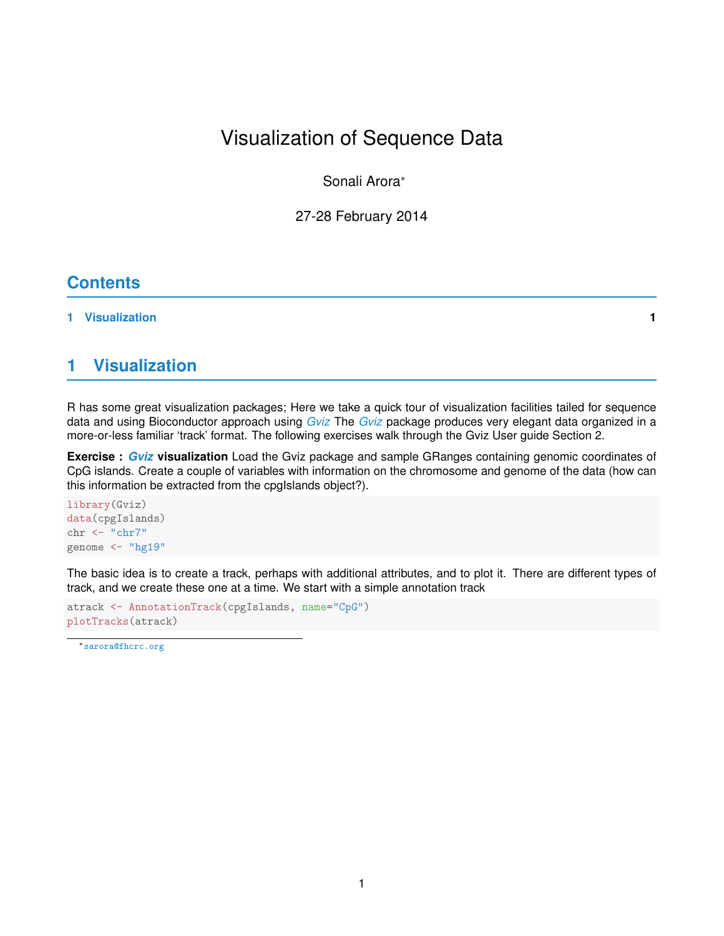Sonali Arora<sup>∗</sup>

27-28 February 2014

# **Contents**

#### **[1 Visualization](#page-0-0) 1**

# <span id="page-0-0"></span>**1 Visualization**

R has some great visualization packages; Here we take a quick tour of visualization facilities tailed for sequence data and using Bioconductor approach using *[Gviz](http://bioconductor.org/packages/release/bioc/html/Gviz.html)* The *[Gviz](http://bioconductor.org/packages/release/bioc/html/Gviz.html)* package produces very elegant data organized in a more-or-less familiar 'track' format. The following exercises walk through the Gviz User guide Section 2.

**Exercise :** *[Gviz](http://bioconductor.org/packages/release/bioc/html/Gviz.html)* **visualization** Load the Gviz package and sample GRanges containing genomic coordinates of CpG islands. Create a couple of variables with information on the chromosome and genome of the data (how can this information be extracted from the cpgIslands object?).

library(Gviz) data(cpgIslands) chr <- "chr7" genome <- "hg19"

The basic idea is to create a track, perhaps with additional attributes, and to plot it. There are different types of track, and we create these one at a time. We start with a simple annotation track

```
atrack <- AnnotationTrack(cpgIslands, name="CpG")
plotTracks(atrack)
```
<sup>∗</sup><sarora@fhcrc.org>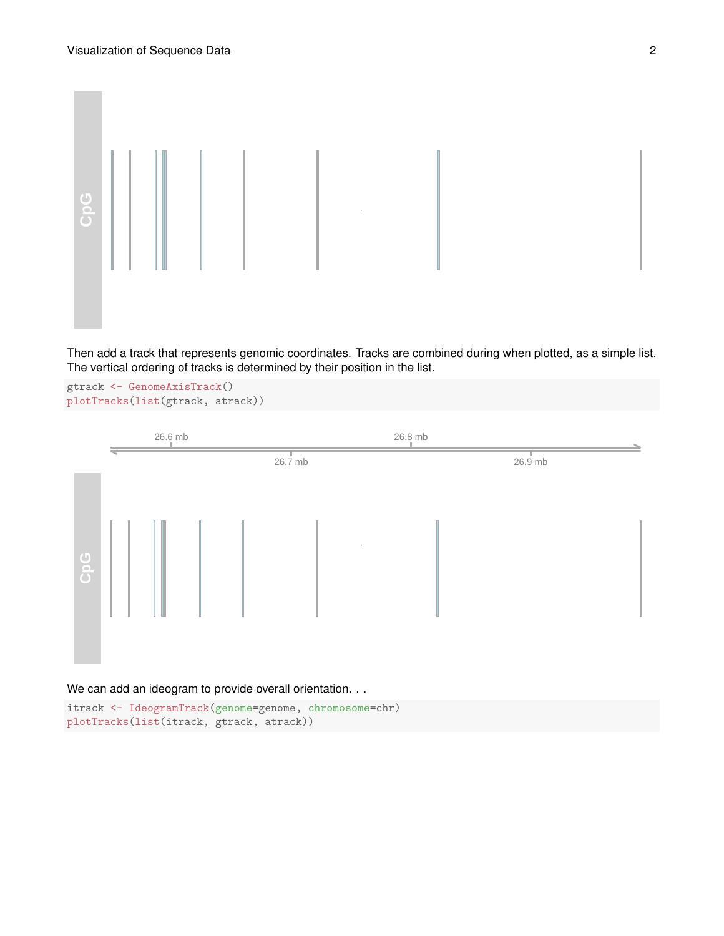

Then add a track that represents genomic coordinates. Tracks are combined during when plotted, as a simple list. The vertical ordering of tracks is determined by their position in the list.

gtrack <- GenomeAxisTrack() plotTracks(list(gtrack, atrack))



itrack <- IdeogramTrack(genome=genome, chromosome=chr) plotTracks(list(itrack, gtrack, atrack))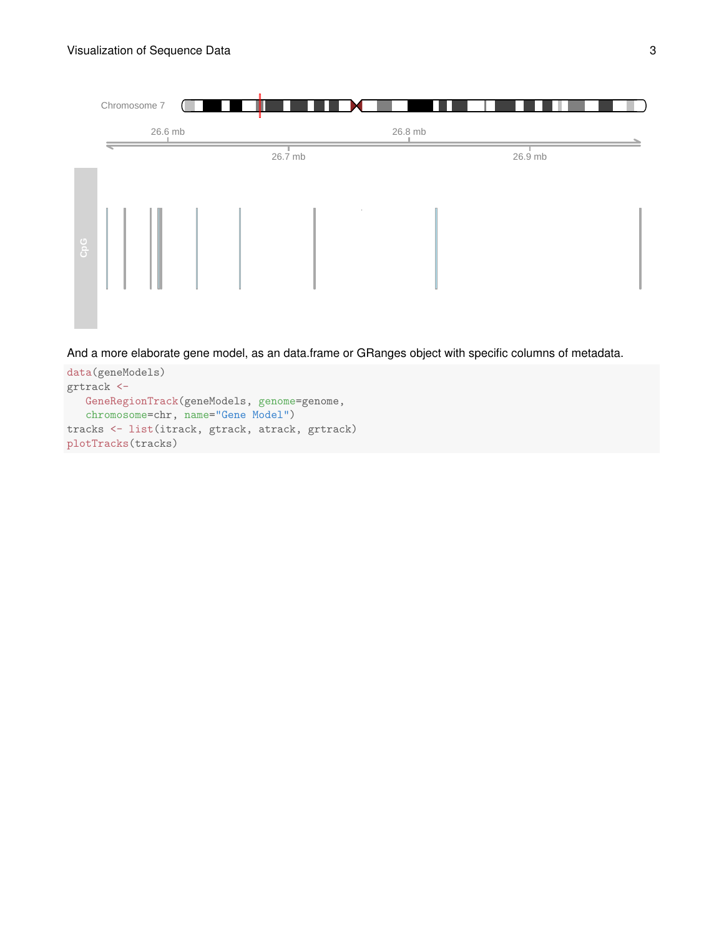

And a more elaborate gene model, as an data.frame or GRanges object with specific columns of metadata.

```
data(geneModels)
grtrack <-
   GeneRegionTrack(geneModels, genome=genome,
   chromosome=chr, name="Gene Model")
tracks <- list(itrack, gtrack, atrack, grtrack)
plotTracks(tracks)
```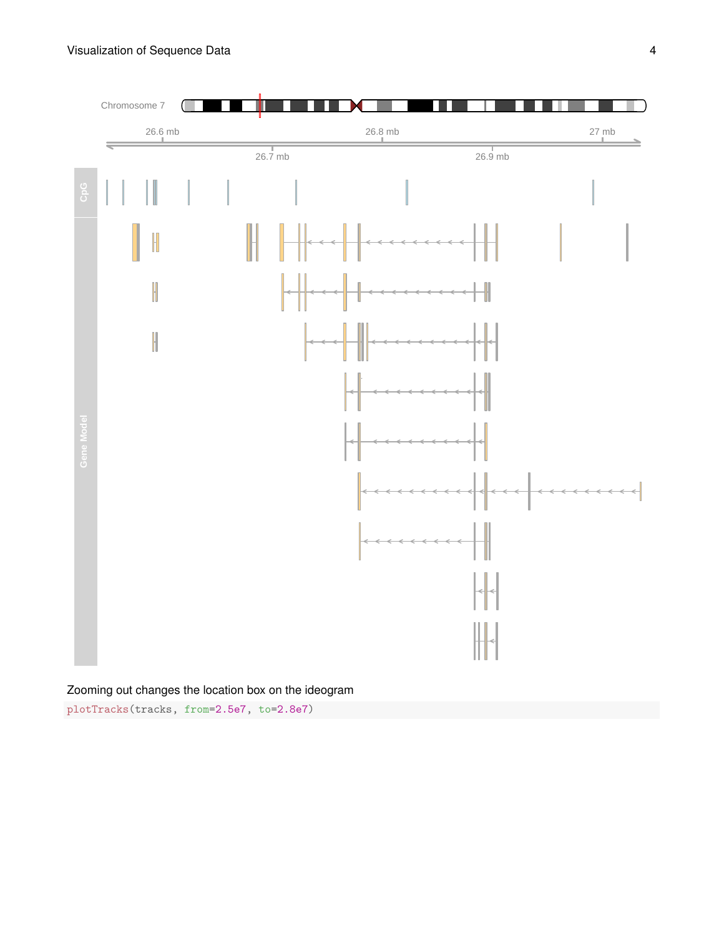

### Zooming out changes the location box on the ideogram

plotTracks(tracks, from=2.5e7, to=2.8e7)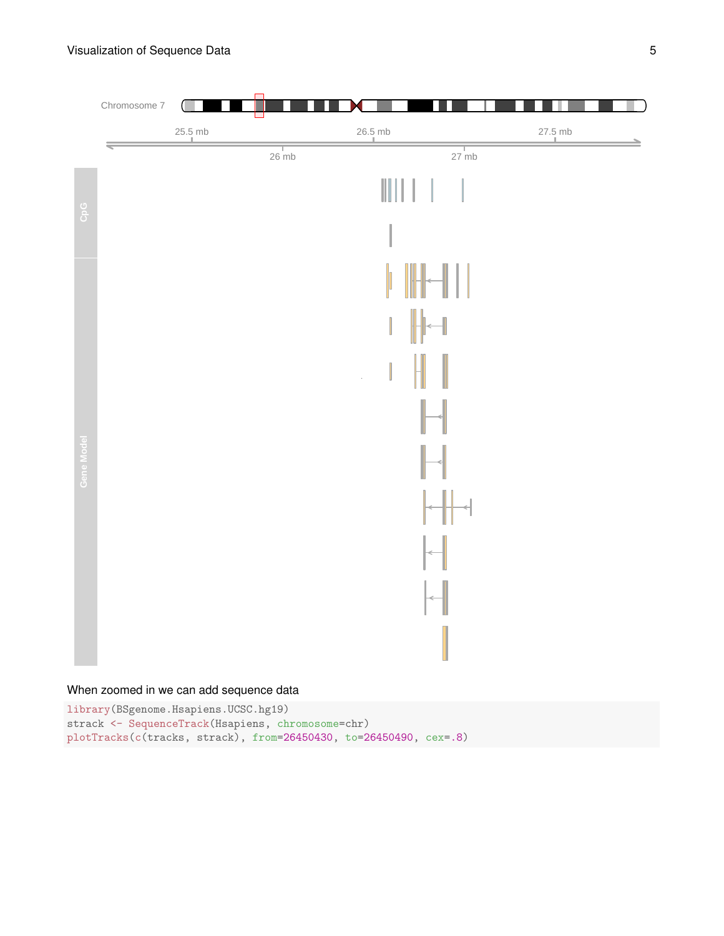

## When zoomed in we can add sequence data

library(BSgenome.Hsapiens.UCSC.hg19) strack <- SequenceTrack(Hsapiens, chromosome=chr) plotTracks(c(tracks, strack), from=26450430, to=26450490, cex=.8)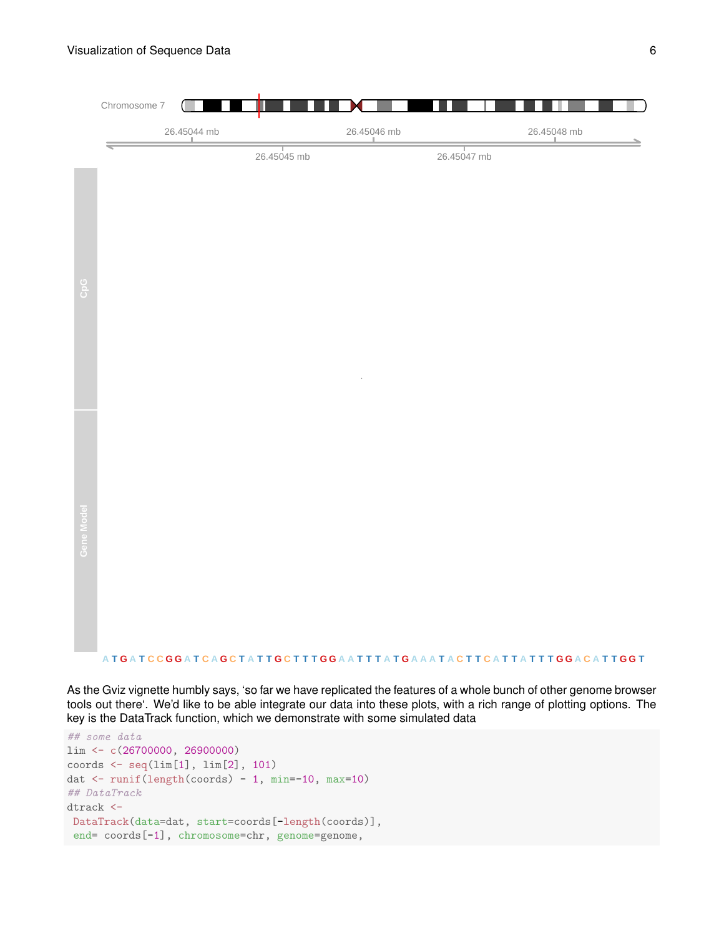

As the Gviz vignette humbly says, 'so far we have replicated the features of a whole bunch of other genome browser tools out there'. We'd like to be able integrate our data into these plots, with a rich range of plotting options. The key is the DataTrack function, which we demonstrate with some simulated data

```
## some data
lim <- c(26700000, 26900000)
coords \leq seq(\lim[1], \lim[2], 101)dat <- runif(length(coords) - 1, min=-10, max=10)
## DataTrack
dtrack <-
DataTrack(data=dat, start=coords[-length(coords)],
 end= coords[-1], chromosome=chr, genome=genome,
```